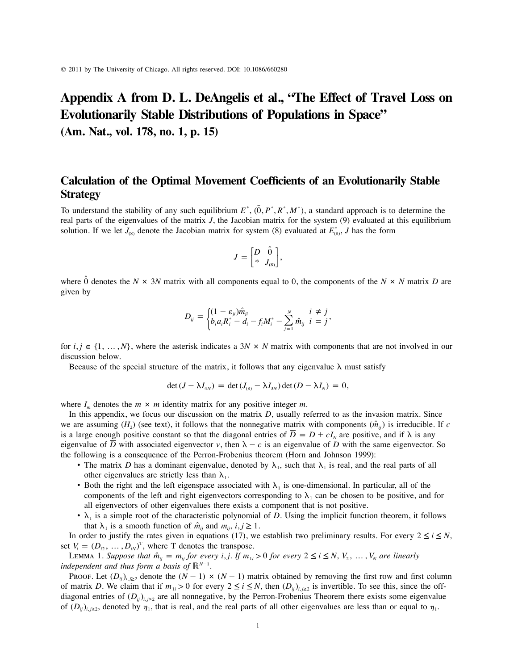# **Appendix A from D. L. DeAngelis et al., "The Effect of Travel Loss on Evolutionarily Stable Distributions of Populations in Space"**

**(Am. Nat., vol. 178, no. 1, p. 15)**

## **Calculation of the Optimal Movement Coefficients of an Evolutionarily Stable Strategy**

To understand the stability of any such equilibrium  $E^*$ ,  $(\overline{0}, P^*, R^*, M^*)$ , a standard approach is to determine the real parts of the eigenvalues of the matrix *J*, the Jacobian matrix for the system (9) evaluated at this equilibrium solution. If we let  $J_{(8)}$  denote the Jacobian matrix for system (8) evaluated at  $E_{(8)}^*$ , J has the form

$$
J = \begin{bmatrix} D & \hat{0} \\ * & J_{(8)} \end{bmatrix},
$$

where  $\hat{0}$  denotes the *N*  $\times$  3*N* matrix with all components equal to 0, the components of the *N*  $\times$  *N* matrix *D* are given by

$$
D_{ij} = \begin{cases} (1 - \varepsilon_{ji}) \hat{m}_{ji} & i \neq j \\ b_i a_i R_i^* - d_i - f_i M_i^* - \sum_{j=1}^N \hat{m}_{ij} & i = j \end{cases}
$$

for  $i, j \in \{1, \ldots, N\}$ , where the asterisk indicates a  $3N \times N$  matrix with components that are not involved in our discussion below.

Because of the special structure of the matrix, it follows that any eigenvalue  $\lambda$  must satisfy

$$
\det(J - \lambda I_{4N}) = \det(J_{(8)} - \lambda I_{3N}) \det(D - \lambda I_N) = 0,
$$

where  $I_m$  denotes the  $m \times m$  identity matrix for any positive integer  $m$ .

In this appendix, we focus our discussion on the matrix *D*, usually referred to as the invasion matrix. Since we are assuming  $(H_2)$  (see text), it follows that the nonnegative matrix with components  $(\hat{m}_{ij})$  is irreducible. If c is a large enough positive constant so that the diagonal entries of  $\overline{D} = D + cI<sub>N</sub>$  are positive, and if  $\lambda$  is any eigenvalue of  $\overline{D}$  with associated eigenvector v, then  $\lambda - c$  is an eigenvalue of *D* with the same eigenvector. So the following is a consequence of the Perron-Frobenius theorem (Horn and Johnson 1999):

- The matrix *D* has a dominant eigenvalue, denoted by  $\lambda_1$ , such that  $\lambda_1$  is real, and the real parts of all other eigenvalues are strictly less than  $\lambda_1$ .
- Both the right and the left eigenspace associated with  $\lambda_1$  is one-dimensional. In particular, all of the components of the left and right eigenvectors corresponding to  $\lambda_1$  can be chosen to be positive, and for all eigenvectors of other eigenvalues there exists a component that is not positive.
- $\lambda_1$  is a simple root of the characteristic polynomial of *D*. Using the implicit function theorem, it follows that  $\lambda_1$  is a smooth function of  $\hat{m}_{ij}$  and  $m_{ij}$ ,  $i, j \ge 1$ .

In order to justify the rates given in equations (17), we establish two preliminary results. For every  $2 \le i \le N$ , set  $V_i = (D_{i2}, \dots, D_{iN})^T$ , where T denotes the transpose.

LEMMA 1. Suppose that  $\hat{m}_{ij} = m_{ij}$  for every *i*, *j*. If  $m_{1i} > 0$  for every  $2 \le i \le N$ ,  $V_2, \ldots, V_N$  are linearly *independent and thus form a basis of*  $\mathbb{R}^{N-1}$ *.* 

Proof. Let  $(D_{ij})_{i,j\geq 2}$  denote the  $(N-1) \times (N-1)$  matrix obtained by removing the first row and first column of matrix *D*. We claim that if  $m_{1i} > 0$  for every  $2 \le i \le N$ , then  $(D_{ii})_{i,i \ge 2}$  is invertible. To see this, since the offdiagonal entries of  $(D_{ii})_{i\geq 2}$  are all nonnegative, by the Perron-Frobenius Theorem there exists some eigenvalue of  $(D_{ij})_{i,j\geq 2}$ , denoted by  $\eta_1$ , that is real, and the real parts of all other eigenvalues are less than or equal to  $\eta_1$ .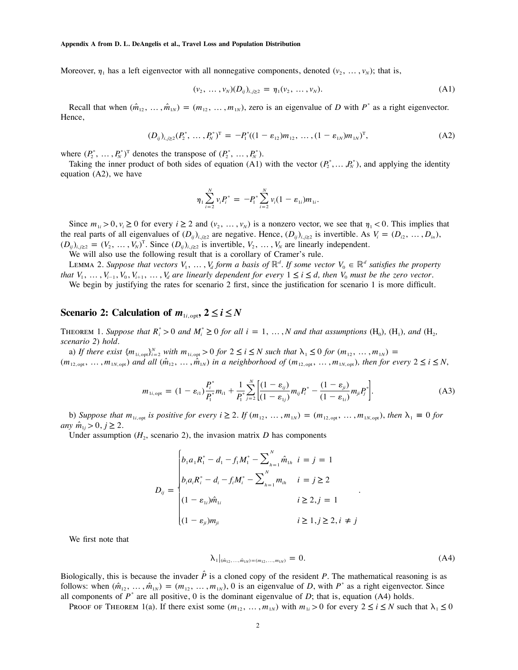Moreover,  $\eta_1$  has a left eigenvector with all nonnegative components, denoted  $(v_2, \ldots, v_N)$ ; that is,

$$
(\nu_2, \ldots, \nu_N)(D_{ij})_{i,j \ge 2} = \eta_1(\nu_2, \ldots, \nu_N). \tag{A1}
$$

Recall that when  $(\hat{m}_{12}, \ldots, \hat{m}_{1N}) = (m_{12}, \ldots, m_{1N})$ , zero is an eigenvalue of *D* with  $P^*$  as a right eigenvector. Hence,

$$
(D_{ij})_{i,j\geq 2}(P_2^*,\ldots,P_N^*)^{\mathrm{T}} = -P_1^*((1-\varepsilon_{12})m_{12},\ldots,(1-\varepsilon_{1N})m_{1N})^{\mathrm{T}},\tag{A2}
$$

where  $(P_2^*, \ldots, P_N^*)^T$  denotes the transpose of  $(P_2^*, \ldots, P_N^*)$ .

Taking the inner product of both sides of equation (A1) with the vector  $(P_2^*, \ldots, P_N^*)$ , and applying the identity equation (A2), we have

$$
\eta_1 \sum_{i=2}^N v_i P_i^* = -P_1^* \sum_{i=2}^N v_i (1 - \varepsilon_{1i}) m_{1i}.
$$

Since  $m_{1i} > 0$ ,  $v_i \ge 0$  for every  $i \ge 2$  and  $(v_2, \ldots, v_N)$  is a nonzero vector, we see that  $\eta_1 < 0$ . This implies that the real parts of all eigenvalues of  $(D_{ij})_{i,j\geq 2}$  are negative. Hence,  $(D_{ij})_{i,j\geq 2}$  is invertible. As  $V_i = (D_{i2}, \dots, D_{in}),$  $(D_{ij})_{i,j\geq 2} = (V_2, \ldots, V_N)^T$ . Since  $(D_{ij})_{i,j\geq 2}$  is invertible,  $V_2, \ldots, V_N$  are linearly independent.

We will also use the following result that is a corollary of Cramer's rule.

LEMMA 2. Suppose that vectors  $V_1, \ldots, V_d$  form a basis of  $\mathbb{R}^d$ . If some vector  $V_0 \in \mathbb{R}^d$  satisfies the property *that*  $V_1, \ldots, V_{i-1}, V_0, V_{i+1}, \ldots, V_d$  are linearly dependent for every  $1 \le i \le d$ , then  $V_0$  must be the zero vector.

We begin by justifying the rates for scenario 2 first, since the justification for scenario 1 is more difficult.

### **Scenario 2: Calculation of**  $m_{1i, \text{out}}$ **,**  $2 \le i \le N$

**THEOREM** 1. *Suppose that*  $R_i^* > 0$  *and*  $M_i^* \ge 0$  *for all*  $i = 1, ..., N$  *and that assumptions* (H<sub>0</sub>), (H<sub>1</sub>), *and* (H<sub>2</sub>, *scenario 2*) *hold.*

a) If there exist  $\{m_{1i,\text{opt}}\}_{i=2}^N$  with  $m_{1i,\text{opt}} > 0$  for  $2 \le i \le N$  such that  $\lambda_1 \le 0$  for  $(m_{12}, \ldots, m_{1N}) =$  $(m_{12,\text{opt}},\ldots,m_{1N,\text{opt}})$  and all  $(\hat{m}_{12},\ldots,\hat{m}_{1N})$  in a neighborhood of  $(m_{12,\text{opt}},\ldots,m_{1N,\text{opt}})$ , then for every  $2\leq i\leq N$ ,

$$
m_{1i,\text{opt}} = (1 - \varepsilon_{i1}) \frac{P_i^*}{P_i^*} m_{i1} + \frac{1}{P_i^*} \sum_{j=2}^N \left[ \frac{(1 - \varepsilon_{ij})}{(1 - \varepsilon_{1j})} m_{ij} P_i^* - \frac{(1 - \varepsilon_{ji})}{(1 - \varepsilon_{1i})} m_{ji} P_j^* \right].
$$
 (A3)

b) Suppose that  $m_{\text{li,out}}$  is positive for every  $i \geq 2$ . If  $(m_{12}, \ldots, m_{1N}) = (m_{12, \text{out}}, \ldots, m_{1N, \text{out}})$ , then  $\lambda_1 \equiv 0$  for *any*  $\hat{m}_{1i} > 0, j \geq 2$ .

Under assumption  $(H_2)$ , scenario 2), the invasion matrix *D* has components

$$
D_{ij} = \begin{cases} b_1 a_1 R_1^* - d_1 - f_1 M_1^* - \sum_{h=1}^N \hat{m}_{1h} & i = j = 1 \\ b_i a_i R_i^* - d_i - f_i M_i^* - \sum_{h=1}^N m_{ih} & i = j \ge 2 \\ (1 - \varepsilon_{1i}) \hat{m}_{1i} & i \ge 2, j = 1 \\ (1 - \varepsilon_{ji}) m_{ji} & i \ge 1, j \ge 2, i \ne j \end{cases}
$$

We first note that

$$
\lambda_1|_{(\hat{m}_{12},...,\hat{m}_{1N})=(m_{12},...,m_{1N})}=0.
$$
\n(A4)

Biologically, this is because the invader  $\hat{P}$  is a cloned copy of the resident  $P$ . The mathematical reasoning is as follows: when  $(\hat{m}_{12}, \ldots, \hat{m}_{1N}) = (m_{12}, \ldots, m_{1N}), 0$  is an eigenvalue of *D*, with  $P^*$  as a right eigenvector. Since all components of  $P^*$  are all positive, 0 is the dominant eigenvalue of *D*; that is, equation (A4) holds.

PROOF OF THEOREM 1(a). If there exist some  $(m_{12}, ..., m_{1N})$  with  $m_{1i} > 0$  for every  $2 \le i \le N$  such that  $\lambda_1 \le 0$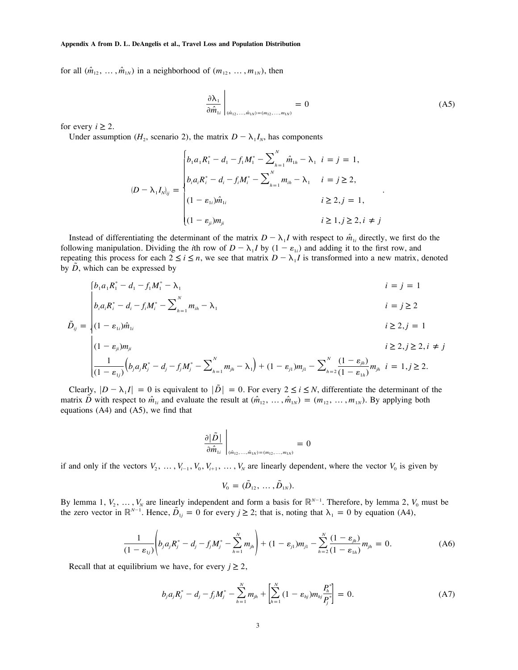for all  $(\hat{m}_{12}, \ldots, \hat{m}_{1N})$  in a neighborhood of  $(m_{12}, \ldots, m_{1N})$ , then

$$
\left. \frac{\partial \lambda_1}{\partial \hat{m}_{1i}} \right|_{(\hat{m}_{12},...,\hat{m}_{1N}) = (m_{12},...,m_{1N})} = 0
$$
\n(A5)

for every  $i \geq 2$ .

Under assumption ( $H_2$ , scenario 2), the matrix  $D - \lambda_1 I_N$ , has components

$$
(D - \lambda_1 I_{N})_{ij} = \begin{cases} b_1 a_1 R_1^* - d_1 - f_1 M_1^* - \sum_{h=1}^N \hat{m}_{1h} - \lambda_1 & i = j = 1, \\ b_i a_i R_i^* - d_i - f_i M_i^* - \sum_{h=1}^N m_{ih} - \lambda_1 & i = j \ge 2, \\ (1 - \varepsilon_{1i}) \hat{m}_{1i} & i \ge 2, j = 1, \\ (1 - \varepsilon_{ji}) m_{ji} & i \ge 1, j \ge 2, i \ne j \end{cases}
$$

Instead of differentiating the determinant of the matrix  $D - \lambda_1 I$  with respect to  $\hat{m}_{1i}$  directly, we first do the following manipulation. Dividing the *i*th row of  $D - \lambda_1 I$  by  $(1 - \varepsilon_1)$  and adding it to the first row, and repeating this process for each  $2 \le i \le n$ , we see that matrix  $D - \lambda_1 I$  is transformed into a new matrix, denoted by *D*, which can be expressed by

$$
\begin{cases}\n b_1 a_1 R_1^* - d_1 - f_1 M_1^* - \lambda_1 & i = j = 1 \\
 b_i a_i R_i^* - d_i - f_i M_i^* - \sum_{h=1}^N m_{ih} - \lambda_1 & i = j \ge 2\n\end{cases}
$$

$$
\tilde{D}_{ij} = \begin{cases} (1 - \varepsilon_{1i}) \hat{m}_{1i} & i \ge 2, j = 1 \end{cases}
$$

$$
\begin{cases}\n(1 - \varepsilon_{ji})m_{ji} & i \ge 2, j \ge 2, i \ne j \\
\frac{1}{(1 - \varepsilon_{1j})} \left( b_j a_j R_j^* - d_j - f_j M_j^* - \sum_{h=1}^N m_{jh} - \lambda_1 \right) + (1 - \varepsilon_{j1})m_{j1} - \sum_{h=2}^N \frac{(1 - \varepsilon_{jh})}{(1 - \varepsilon_{1h})} m_{jh} & i = 1, j \ge 2.\n\end{cases}
$$

Clearly,  $|D - \lambda_1 I| = 0$  is equivalent to  $|\overline{D}| = 0$ . For every  $2 \le i \le N$ , differentiate the determinant of the matrix  $\tilde{D}$  with respect to  $\hat{m}_{1i}$  and evaluate the result at  $(\hat{m}_{12}, \dots, \hat{m}_{1N}) = (m_{12}, \dots, m_{1N})$ . By applying both equations  $(A4)$  and  $(A5)$ , we find that

$$
\left.\frac{\partial|\tilde{D}|}{\partial\hat{m}_{1i}}\right|_{(\hat{m}_{12},...,\hat{m}_{1N})=(m_{12},...,m_{1N})}=0
$$

if and only if the vectors  $V_2, \ldots, V_{i-1}, V_0, V_{i+1}, \ldots, V_N$  are linearly dependent, where the vector  $V_0$  is given by

$$
V_0 = (\tilde{D}_{12}, \ldots, \tilde{D}_{1N}).
$$

By lemma 1,  $V_2, \ldots, V_N$  are linearly independent and form a basis for  $\mathbb{R}^{N-1}$ . Therefore, by lemma 2,  $V_0$  must be the zero vector in  $\mathbb{R}^{N-1}$ . Hence,  $\tilde{D}_{1j} = 0$  for every  $j \ge 2$ ; that is, noting that  $\lambda_1 = 0$  by equation (A4),

$$
\frac{1}{(1-\varepsilon_{1j})}\left(b_j a_j R_j^* - d_j - f_j M_j^* - \sum_{h=1}^N m_{jh}\right) + (1-\varepsilon_{j1})m_{j1} - \sum_{h=2}^N \frac{(1-\varepsilon_{jh})}{(1-\varepsilon_{1h})}m_{jh} = 0.
$$
 (A6)

Recall that at equilibrium we have, for every  $j \geq 2$ ,

$$
b_j a_j R_j^* - d_j - f_j M_j^* - \sum_{h=1}^N m_{jh} + \left[ \sum_{h=1}^N (1 - \varepsilon_{hj}) m_{hj} \frac{P_h^*}{P_j^*} \right] = 0.
$$
 (A7)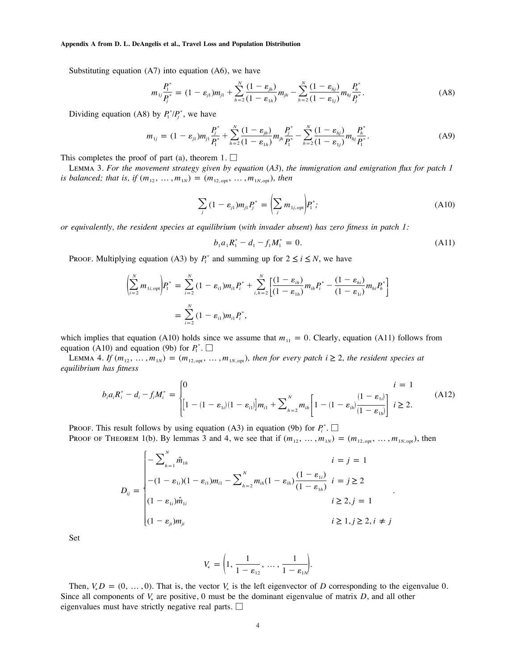Substituting equation (A7) into equation (A6), we have

$$
m_{1j}\frac{P_1^*}{P_j^*} = (1 - \varepsilon_{j1})m_{j1} + \sum_{h=2}^N \frac{(1 - \varepsilon_{jh})}{(1 - \varepsilon_{1h})}m_{jh} - \sum_{h=2}^N \frac{(1 - \varepsilon_{hj})}{(1 - \varepsilon_{1j})}m_{hj}\frac{P_h^*}{P_j^*}.
$$
 (A8)

Dividing equation (A8) by  $P_1^*/P_i^*$ , we have

$$
m_{1j} = (1 - \varepsilon_{j1})m_{j1}\frac{P_j^*}{P_1^*} + \sum_{h=2}^N \frac{(1 - \varepsilon_{jh})}{(1 - \varepsilon_{1h})}m_{jh}\frac{P_j^*}{P_1^*} - \sum_{h=2}^N \frac{(1 - \varepsilon_{hj})}{(1 - \varepsilon_{1j})}m_{hj}\frac{P_i^*}{P_1^*}.
$$
 (A9)

This completes the proof of part (a), theorem 1.  $\Box$ 

Lemma 3. *For the movement strategy given by equation* (*A3*)*, the immigration and emigration flux for patch 1 is balanced; that is, if*  $(m_{12}, ..., m_{1N}) = (m_{12, opt}, ..., m_{1N, opt})$ , then

$$
\sum_{j} (1 - \varepsilon_{j1}) m_{j1} P_j^* = \left( \sum_{j} m_{1j, \text{ opt}} \right) P_1^*;
$$
 (A10)

*or equivalently, the resident species at equilibrium* (*with invader absent*) *has zero fitness in patch 1:*

$$
b_1 a_1 R_1^* - d_1 - f_1 M_1^* = 0.
$$
 (A11)

Proof. Multiplying equation (A3) by  $P_i^*$  and summing up for  $2 \le i \le N$ , we have

$$
\left(\sum_{i=2}^{N} m_{1i,\text{opt}}\right) P_{1}^{*} = \sum_{i=2}^{N} (1 - \varepsilon_{i1}) m_{i1} P_{i}^{*} + \sum_{i,h=2}^{N} \left[\frac{(1 - \varepsilon_{ih})}{(1 - \varepsilon_{1h})} m_{ih} P_{i}^{*} - \frac{(1 - \varepsilon_{hi})}{(1 - \varepsilon_{1i})} m_{hi} P_{h}^{*}\right]
$$
  
= 
$$
\sum_{i=2}^{N} (1 - \varepsilon_{i1}) m_{i1} P_{i}^{*},
$$

which implies that equation (A10) holds since we assume that  $m_{11} = 0$ . Clearly, equation (A11) follows from equation (A10) and equation (9b) for  $P_1^*$ .

LEMMA 4. *If*  $(m_{12}, ..., m_{1N}) = (m_{12, opt}, ..., m_{1N, opt})$ , then for every patch  $i \ge 2$ , the resident species at *equilibrium has fitness*

$$
b_i a_i R_i^* - d_i - f_i M_i^* = \begin{cases} 0 & i = 1 \\ \left[1 - (1 - \varepsilon_{1i})(1 - \varepsilon_{i1})\right] m_{i1} + \sum_{h=2}^N m_{ih} \left[1 - (1 - \varepsilon_{ih})\frac{(1 - \varepsilon_{1i})}{(1 - \varepsilon_{1h})}\right] & i \ge 2. \end{cases}
$$
(A12)

Proof. This result follows by using equation (A3) in equation (9b) for  $P_i^*$ .

PROOF OF THEOREM 1(b). By lemmas 3 and 4, we see that if  $(m_{12}, \ldots, m_{1N}) = (m_{12,\text{opt}}, \ldots, m_{1N,\text{opt}})$ , then

$$
D_{ij} = \begin{cases}\n-\sum_{h=1}^{N} \hat{m}_{1h} & i = j = 1 \\
-(1 - \varepsilon_{1i})(1 - \varepsilon_{i1})m_{i1} - \sum_{h=2}^{N} m_{ih}(1 - \varepsilon_{ih})\frac{(1 - \varepsilon_{1i})}{(1 - \varepsilon_{1h})} & i = j \ge 2 \\
(1 - \varepsilon_{1i})\hat{m}_{1i} & i \ge 2, j = 1 \\
(1 - \varepsilon_{ji})m_{ji} & i \ge 1, j \ge 2, i \ne j\n\end{cases}
$$

Set

$$
V_* = \left(1, \frac{1}{1 - \varepsilon_{12}}, \dots, \frac{1}{1 - \varepsilon_{1N}}\right)
$$

Then,  $V_x D = (0, \ldots, 0)$ . That is, the vector  $V_x$  is the left eigenvector of *D* corresponding to the eigenvalue 0. Since all components of  $V<sub>s</sub>$  are positive, 0 must be the dominant eigenvalue of matrix *D*, and all other eigenvalues must have strictly negative real parts.  $\Box$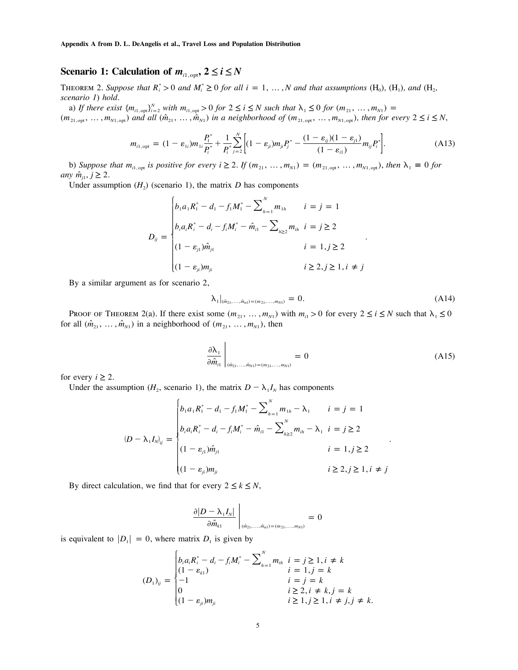## **Scenario 1: Calculation of**  $m_{i1, \text{opt}}$ **,**  $2 \le i \le N$

THEOREM 2. Suppose that  $R_i^* > 0$  and  $M_i^* \geq 0$  for all  $i = 1, ..., N$  and that assumptions  $(H_0)$ ,  $(H_1)$ , and  $(H_2)$ *scenario 1*) *hold.*

a) If there exist  ${m_{i1,\text{opt}}}$ <sub> $Y_{i=2}$ </sub> with  $m_{i1,\text{opt}} > 0$  for  $2 \le i \le N$  such that  $\lambda_1 \le 0$  for  $(m_{21}, \ldots, m_{N1}) =$  $(m_{21,\text{opt}},\ldots,m_{N1,\text{opt}})$  and all  $(\hat{m}_{21},\ldots,\hat{m}_{N1})$  in a neighborhood of  $(m_{21,\text{opt}},\ldots,m_{N1,\text{opt}})$ , then for every  $2\leq i\leq N$ ,

$$
m_{i1,\text{opt}} = (1 - \varepsilon_{1i}) m_{1i} \frac{P_i^*}{P_i^*} + \frac{1}{P_i^*} \sum_{j=2}^N \left[ (1 - \varepsilon_{jj}) m_{ji} P_j^* - \frac{(1 - \varepsilon_{ij})(1 - \varepsilon_{j1})}{(1 - \varepsilon_{i1})} m_{ij} P_i^* \right].
$$
 (A13)

b) Suppose that  $m_{i1,\text{opt}}$  is positive for every  $i \geq 2$ . If  $(m_{21}, \ldots, m_{N1}) = (m_{21,\text{opt}}, \ldots, m_{N1,\text{opt}})$ , then  $\lambda_1 \equiv 0$  for *any*  $\hat{m}_{i1}$ ,  $j \geq 2$ .

Under assumption  $(H_2)$  (scenario 1), the matrix *D* has components

$$
D_{ij} = \begin{cases} b_1 a_1 R_1^* - d_1 - f_1 M_1^* - \sum_{h=1}^N m_{1h} & i = j = 1\\ b_i a_i R_i^* - d_i - f_i M_i^* - \hat{m}_{i1} - \sum_{h \ge 2} m_{ih} & i = j \ge 2\\ (1 - \varepsilon_{j1}) \hat{m}_{j1} & i = 1, j \ge 2\\ (1 - \varepsilon_{j1}) m_{ji} & i \ge 2, j \ge 1, i \ne j \end{cases}
$$

By a similar argument as for scenario 2,

$$
\lambda_1|_{(\hat{m}_2,\ldots,\hat{m}_n)=(m_2,\ldots,m_N)}=0.
$$
\n(A14)

PROOF OF THEOREM 2(a). If there exist some  $(m_{21}, ..., m_{N1})$  with  $m_{i1} > 0$  for every  $2 \le i \le N$  such that  $\lambda_1 \le 0$ for all  $(\hat{m}_{21}, \ldots, \hat{m}_{N1})$  in a neighborhood of  $(m_{21}, \ldots, m_{N1})$ , then

$$
\left. \frac{\partial \lambda_1}{\partial \hat{m}_{i1}} \right|_{(\hat{m}_{21}, ..., \hat{m}_{N1}) = (m_{21}, ..., m_{N1})} = 0 \tag{A15}
$$

for every  $i \geq 2$ .

Under the assumption ( $H_2$ , scenario 1), the matrix  $D - \lambda_1 I_N$  has components

 $\overline{1}$ 

$$
(D - \lambda_1 I_{N})_{ij} = \begin{cases} b_1 a_1 R_1^* - d_1 - f_1 M_1^* - \sum_{h=1}^N m_{1h} - \lambda_1 & i = j = 1 \\ b_i a_i R_i^* - d_i - f_i M_i^* - \hat{m}_{i1} - \sum_{h\geq 2}^N m_{ih} - \lambda_1 & i = j \geq 2 \\ (1 - \varepsilon_{j1}) \hat{m}_{j1} & i = 1, j \geq 2 \\ (1 - \varepsilon_{j1}) m_{ji} & i \geq 2, j \geq 1, i \neq j \end{cases}
$$

By direct calculation, we find that for every  $2 \le k \le N$ ,

$$
\left.\frac{\partial |D - \lambda_1 I_N|}{\partial \hat{m}_{k1}}\;\right|_{(\hat{m}_{21},...,\hat{m}_{n1}) = (m_{21},...,m_{N1})} = 0
$$

is equivalent to  $|D_1| = 0$ , where matrix  $D_1$  is given by

$$
(D_1)_{ij} = \begin{cases} b_i a_i R_i^* - d_i - f_i M_i^* - \sum_{h=1}^N m_{ih} & i = j \ge 1, i \ne k \\ (1 - \varepsilon_{k1}) & i = 1, j = k \\ -1 & i = j = k \\ 0 & i \ge 2, i \ne k, j = k \\ (1 - \varepsilon_{ji}) m_{ji} & i \ge 1, j \ge 1, i \ne j, j \ne k. \end{cases}
$$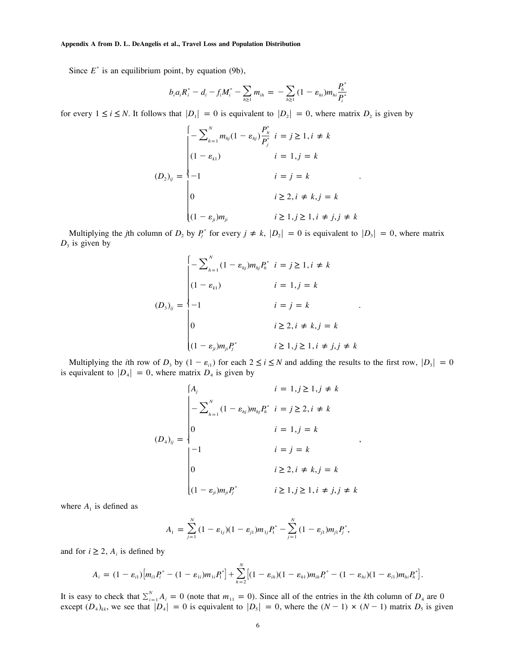Since  $E^*$  is an equilibrium point, by equation (9b),

$$
b_i a_i R_i^* - d_i - f_i M_i^* - \sum_{h \ge 1} m_{ih} = - \sum_{h \ge 1} (1 - \varepsilon_{hi}) m_{hi} \frac{P_h^*}{P_i^*}
$$

for every  $1 \le i \le N$ . It follows that  $|D_1| = 0$  is equivalent to  $|D_2| = 0$ , where matrix  $D_2$  is given by

$$
(D_2)_{ij} = \begin{cases}\n-\sum_{h=1}^{N} m_{hj} (1 - \varepsilon_{hj}) \frac{P_h^*}{P_j^*} & i = j \ge 1, i \ne k \\
(1 - \varepsilon_{k1}) & i = 1, j = k \\
-1 & i = j = k \\
0 & i \ge 2, i \ne k, j = k \\
(1 - \varepsilon_{ji}) m_{ji} & i \ge 1, j \ge 1, i \ne j, j \ne k\n\end{cases}
$$

Multiplying the *j*th column of  $D_2$  by  $P_i^*$  for every  $j \neq k$ ,  $|D_2| = 0$  is equivalent to  $|D_3| = 0$ , where matrix  $D_3$  is given by

$$
(D_3)_{ij} = \begin{cases}\n-\sum_{h=1}^{N} (1 - \varepsilon_{hj}) m_{hj} P_h^* & i = j \ge 1, i \ne k \\
(1 - \varepsilon_{k1}) & i = 1, j = k \\
-1 & i = j = k \\
0 & i \ge 2, i \ne k, j = k\n\end{cases}
$$
\n
$$
(D_3)_{ij} = \begin{cases}\n-1 & i = j = k \\
0 & i \ge 1, j \ge 1, i \ne j, j \ne k\n\end{cases}
$$

Multiplying the *i*th row of  $D_3$  by  $(1 - \varepsilon_{i1})$  for each  $2 \le i \le N$  and adding the results to the first row,  $|D_3| = 0$ is equivalent to  $|D_4| = 0$ , where matrix  $D_4$  is given by

$$
(A_j \t i = 1, j \ge 1, j \ne k
$$
  
\n
$$
-\sum_{h=1}^{N} (1 - \varepsilon_{hj}) m_{hj} P_h^* \t i = j \ge 2, i \ne k
$$
  
\n
$$
(D_4)_{ij} = \begin{vmatrix}\n-1 & i = j = k \\
0 & i \ge 2, i \ne k, j = k \\
0 & i \ge 2, i \ne k, j = k\n\end{vmatrix},
$$
  
\n
$$
(1 - \varepsilon_{ji}) m_{ji} P_j^* \t i \ge 1, j \ge 1, i \ne j, j \ne k
$$

where  $A_1$  is defined as

$$
A_1 = \sum_{j=1}^N (1 - \varepsilon_{1j})(1 - \varepsilon_{j1})m_{1j}P_1^* - \sum_{j=1}^N (1 - \varepsilon_{j1})m_{j1}P_j^*,
$$

and for  $i \geq 2$ ,  $A_i$  is defined by

$$
A_i = (1 - \varepsilon_{i1}) [m_{i1} P_i^* - (1 - \varepsilon_{1i}) m_{1i} P_i^*] + \sum_{h=2}^N [(1 - \varepsilon_{ih}) (1 - \varepsilon_{h1}) m_{ih} P_i^* - (1 - \varepsilon_{hi}) (1 - \varepsilon_{i1}) m_{hi} P_i^*].
$$

It is easy to check that  $\sum_{i=1}^{N} A_i = 0$  (note that  $m_{11} = 0$ ). Since all of the entries in the *k*th column of  $D_4$  are 0 except  $(D_4)_{kk}$ , we see that  $|D_4| = 0$  is equivalent to  $|D_5| = 0$ , where the  $(N-1) \times (N-1)$  matrix  $D_5$  is given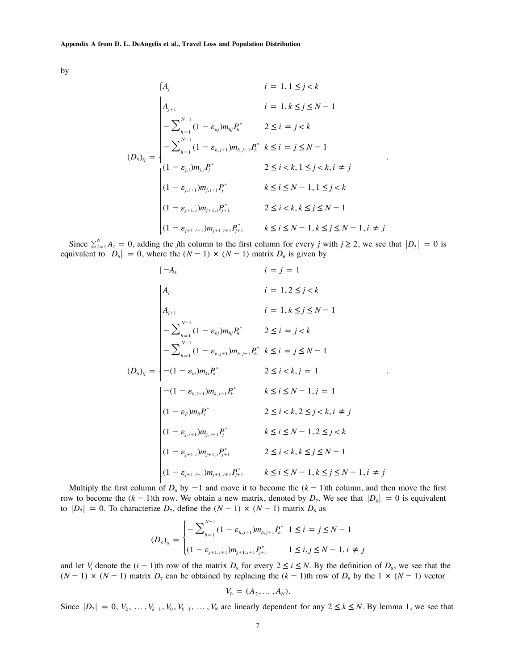by

$$
i = 1, 1 \leq j < k
$$
\n
$$
\begin{vmatrix}\nA_{j+1} & i = 1, k \leq j \leq N - 1 \\
-\sum_{h=1}^{N-1} (1 - \varepsilon_{hj}) m_{hj} P_h^* & 2 \leq i = j < k\n\end{vmatrix}
$$
\n
$$
(D_5)_{ij} = \begin{vmatrix}\n-\sum_{h=1}^{N-1} (1 - \varepsilon_{h,j+1}) m_{h,j+1} P_h^* & k \leq i = j \leq N - 1 \\
-\sum_{h=1}^{N-1} (1 - \varepsilon_{h,j+1}) m_{h,j+1} P_h^* & k \leq i = j \leq N - 1 \\
(1 - \varepsilon_{j,i+1}) m_{j,i+1} P_j^* & k \leq i \leq N - 1, 1 \leq j < k\n\end{vmatrix}
$$
\n
$$
(1 - \varepsilon_{j+1,i}) m_{j+1,i} P_{j+1}^* \qquad 2 \leq i < k, k \leq j \leq N - 1
$$
\n
$$
(1 - \varepsilon_{j+1,i+1}) m_{j+1,i+1} P_{j+1}^* \qquad k \leq i \leq N - 1, k \leq j \leq N - 1, i \neq j
$$

Since  $\sum_{i=1}^{N} A_i = 0$ , adding the *j*th column to the first column for every *j* with  $j \ge 2$ , we see that  $|D_s| = 0$  is equivalent to  $|D_6| = 0$ , where the  $(N - 1) \times (N - 1)$  matrix  $D_6$  is given by

$$
\begin{aligned}\n &\left(-A_k \quad i=j=1 \right] \\
 &\left|A_j \quad i=1,2\leq j
$$

Multiply the first column of  $D_6$  by  $-1$  and move it to become the  $(k-1)$ th column, and then move the first row to become the  $(k - 1)$ th row. We obtain a new matrix, denoted by  $D_7$ . We see that  $|D_6| = 0$  is equivalent to  $|D_7| = 0$ . To characterize  $D_7$ , define the  $(N - 1) \times (N - 1)$  matrix  $D_8$  as

$$
(D_8)_{ij} = \begin{cases} -\sum_{h=1}^{N-1} (1 - \varepsilon_{h,j+1}) m_{h,j+1} P_h^* & 1 \le i = j \le N-1 \\ (1 - \varepsilon_{j+1,i+1}) m_{j+1,i+1} P_{j+1}^* & 1 \le i, j \le N-1, i \ne j \end{cases}
$$

and let  $V_i$  denote the  $(i - 1)$ th row of the matrix  $D_8$  for every  $2 \le i \le N$ . By the definition of  $D_8$ , we see that the  $(N-1) \times (N-1)$  matrix  $D_7$  can be obtained by replacing the  $(k-1)$ th row of  $D_8$  by the  $1 \times (N-1)$  vector

$$
V_0 = (A_2, \ldots, A_N).
$$

Since  $|D_7| = 0, V_2, \ldots, V_{k-1}, V_0, V_{k+1}, \ldots, V_N$  are linearly dependent for any  $2 \le k \le N$ . By lemma 1, we see that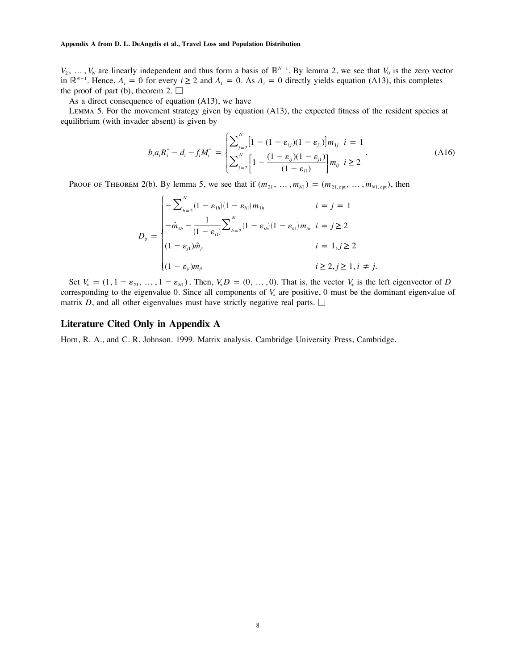$V_2, \ldots, V_N$  are linearly independent and thus form a basis of  $\mathbb{R}^{N-1}$ . By lemma 2, we see that  $V_0$  is the zero vector in  $\mathbb{R}^{N-1}$ . Hence,  $A_i = 0$  for every  $i \ge 2$  and  $A_i = 0$ . As  $A_i = 0$  directly yields equation (A13), this completes the proof of part (b), theorem 2.  $\Box$ 

As a direct consequence of equation (A13), we have

Lemma 5. For the movement strategy given by equation (A13), the expected fitness of the resident species at equilibrium (with invader absent) is given by

$$
b_i a_i R_i^* - d_i - f_i M_i^* = \begin{cases} \sum_{j=2}^N \left[ 1 - (1 - \varepsilon_{1j})(1 - \varepsilon_{j1}) \right] m_{1j} & i = 1\\ \sum_{j=2}^N \left[ 1 - \frac{(1 - \varepsilon_{ij})(1 - \varepsilon_{j1})}{(1 - \varepsilon_{i1})} \right] m_{ij} & i \ge 2 \end{cases} \tag{A16}
$$

PROOF OF THEOREM 2(b). By lemma 5, we see that if  $(m_{21}, ..., m_{N1}) = (m_{21, opt}, ..., m_{N1, opt})$ , then

$$
D_{ij} = \begin{cases}\n- \sum_{h=2}^{N} (1 - \varepsilon_{1h})(1 - \varepsilon_{h1}) m_{1h} & i = j = 1 \\
-\hat{m}_{1h} - \frac{1}{(1 - \varepsilon_{i1})} \sum_{h=2}^{N} (1 - \varepsilon_{ih})(1 - \varepsilon_{h1}) m_{ih} & i = j \ge 2 \\
(1 - \varepsilon_{j1}) \hat{m}_{j1} & i = 1, j \ge 2 \\
(1 - \varepsilon_{ji}) m_{ji} & i \ge 2, j \ge 1, i \ne j.\n\end{cases}
$$

Set  $V_* = (1, 1 - \varepsilon_{21}, \ldots, 1 - \varepsilon_{N1})$ . Then,  $V_* D = (0, \ldots, 0)$ . That is, the vector  $V_*$  is the left eigenvector of *D* corresponding to the eigenvalue 0. Since all components of  $V_*$  are positive, 0 must be the dominant eigenvalue of matrix  $D$ , and all other eigenvalues must have strictly negative real parts.  $\square$ 

### **Literature Cited Only in Appendix A**

Horn, R. A., and C. R. Johnson. 1999. Matrix analysis. Cambridge University Press, Cambridge.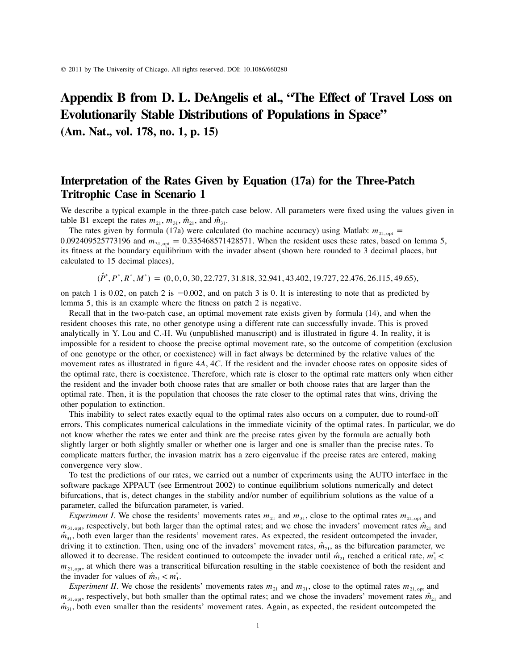# **Appendix B from D. L. DeAngelis et al., "The Effect of Travel Loss on Evolutionarily Stable Distributions of Populations in Space"**

**(Am. Nat., vol. 178, no. 1, p. 15)**

## **Interpretation of the Rates Given by Equation (17a) for the Three-Patch Tritrophic Case in Scenario 1**

We describe a typical example in the three-patch case below. All parameters were fixed using the values given in table B1 except the rates  $m_{21}$ ,  $m_{31}$ ,  $\hat{m}_{21}$ , and  $\hat{m}_{31}$ .

The rates given by formula (17a) were calculated (to machine accuracy) using Matlab:  $m_{21, \text{opt}} =$ 0.092409525773196 and  $m_{31, opt} = 0.335468571428571$ . When the resident uses these rates, based on lemma 5, its fitness at the boundary equilibrium with the invader absent (shown here rounded to 3 decimal places, but calculated to 15 decimal places),

 $(\hat{P}^*, P^*, R^*, M^*) = (0, 0, 0, 30, 22.727, 31.818, 32.941, 43.402, 19.727, 22.476, 26.115, 49.65),$ 

on patch 1 is 0.02, on patch 2 is  $-0.002$ , and on patch 3 is 0. It is interesting to note that as predicted by lemma 5, this is an example where the fitness on patch 2 is negative.

Recall that in the two-patch case, an optimal movement rate exists given by formula (14), and when the resident chooses this rate, no other genotype using a different rate can successfully invade. This is proved analytically in Y. Lou and C.-H. Wu (unpublished manuscript) and is illustrated in figure 4. In reality, it is impossible for a resident to choose the precise optimal movement rate, so the outcome of competition (exclusion of one genotype or the other, or coexistence) will in fact always be determined by the relative values of the movement rates as illustrated in figure 4*A*, 4*C*. If the resident and the invader choose rates on opposite sides of the optimal rate, there is coexistence. Therefore, which rate is closer to the optimal rate matters only when either the resident and the invader both choose rates that are smaller or both choose rates that are larger than the optimal rate. Then, it is the population that chooses the rate closer to the optimal rates that wins, driving the other population to extinction.

This inability to select rates exactly equal to the optimal rates also occurs on a computer, due to round-off errors. This complicates numerical calculations in the immediate vicinity of the optimal rates. In particular, we do not know whether the rates we enter and think are the precise rates given by the formula are actually both slightly larger or both slightly smaller or whether one is larger and one is smaller than the precise rates. To complicate matters further, the invasion matrix has a zero eigenvalue if the precise rates are entered, making convergence very slow.

To test the predictions of our rates, we carried out a number of experiments using the AUTO interface in the software package XPPAUT (see Ermentrout 2002) to continue equilibrium solutions numerically and detect bifurcations, that is, detect changes in the stability and/or number of equilibrium solutions as the value of a parameter, called the bifurcation parameter, is varied.

*Experiment I*. We chose the residents' movements rates  $m_{21}$  and  $m_{31}$ , close to the optimal rates  $m_{21, opt}$  and  $m_{\rm 31,opt}$ , respectively, but both larger than the optimal rates; and we chose the invaders' movement rates  $\hat{m}_{21}$  and  $\hat{m}_{31}$ , both even larger than the residents' movement rates. As expected, the resident outcompeted the invader, driving it to extinction. Then, using one of the invaders' movement rates,  $\hat{m}_{21}$ , as the bifurcation parameter, we allowed it to decrease. The resident continued to outcompete the invader until  $\hat{m}_{21}$  reached a critical rate,  $m_1^*$  <  $m_{21, \text{opt}}$ , at which there was a transcritical bifurcation resulting in the stable coexistence of both the resident and the invader for values of  $\hat{m}_{21} < m_1^*$ .

*Experiment II*. We chose the residents' movements rates  $m_{21}$  and  $m_{31}$ , close to the optimal rates  $m_{21, \text{opt}}$  and  $m_{\lambda_1\text{ out}}$ , respectively, but both smaller than the optimal rates; and we chose the invaders' movement rates  $\hat{m}_{\lambda_1}$  and  $\hat{m}_{31}$ , both even smaller than the residents' movement rates. Again, as expected, the resident outcompeted the